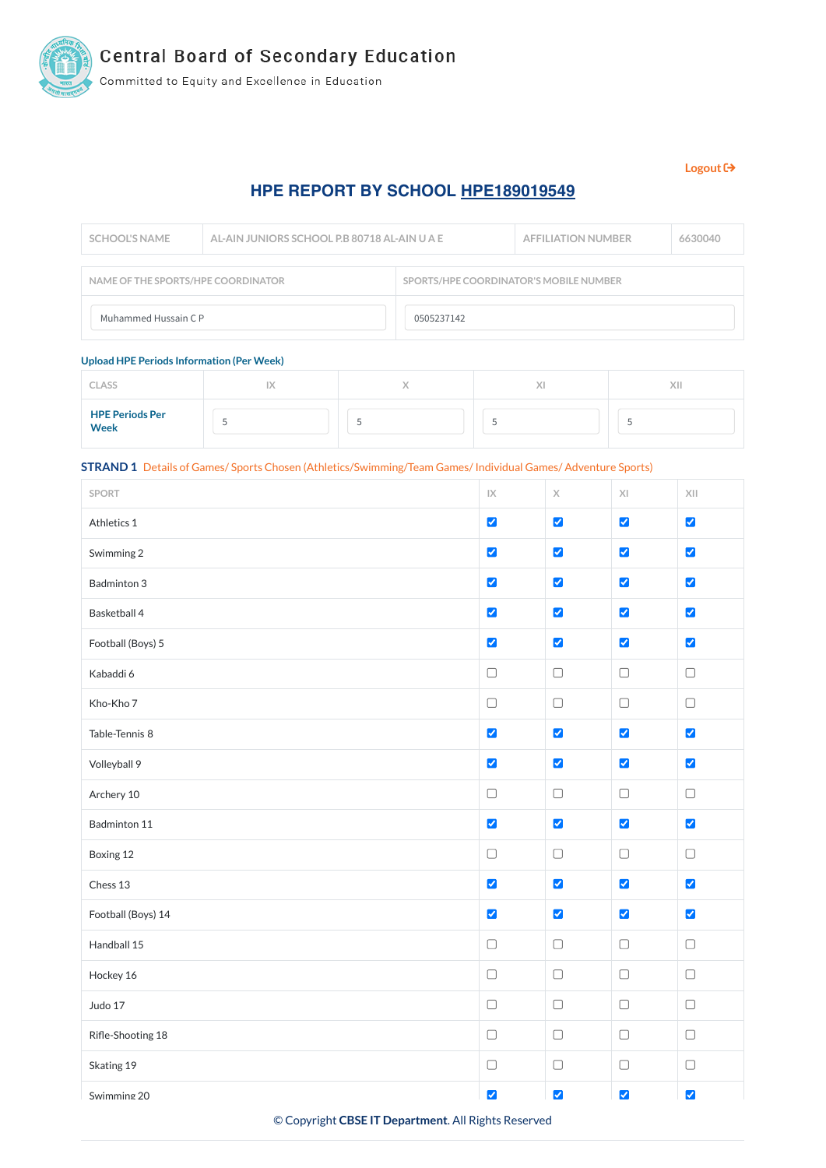

**Central Board of Secondary Education** 

Committed to Equity and Excellence in Education

## **[Logout](https://cbseit.in/cbse/web/hpe/applogin.aspx)**

# **HPE REPORT BY SCHOOL HPE189019549**

| <b>SCHOOL'S NAME</b>               | AL-AIN JUNIORS SCHOOL P.B 80718 AL-AIN U A E |                                               | <b>AFFILIATION NUMBER</b> | 6630040 |
|------------------------------------|----------------------------------------------|-----------------------------------------------|---------------------------|---------|
| NAME OF THE SPORTS/HPE COORDINATOR |                                              | <b>SPORTS/HPE COORDINATOR'S MOBILE NUMBER</b> |                           |         |
| Muhammed Hussain C P               |                                              | 0505237142                                    |                           |         |

#### **Upload HPE Periods Information (Per Week)**

| <b>CLASS</b>                   | $\sqrt{ }$ | $\sqrt{1}$ | XII |
|--------------------------------|------------|------------|-----|
| <b>HPE Periods Per</b><br>Week |            |            |     |

#### **STRAND 1** Details of Games/ Sports Chosen (Athletics/Swimming/Team Games/ Individual Games/ Adventure Sports)

| SPORT               | $\sf IX$                     | $\mathsf{X}% _{\mathsf{X}}^{\prime}=\mathsf{X}_{\mathsf{X}}^{\prime}$ | $\mathsf{X}\mathsf{I}$       | X                            |
|---------------------|------------------------------|-----------------------------------------------------------------------|------------------------------|------------------------------|
| Athletics 1         | $\blacktriangledown$         | $\blacktriangledown$                                                  | $\blacktriangledown$         | $\blacktriangledown$         |
| Swimming 2          | $\blacktriangledown$         | $\blacktriangledown$                                                  | $\blacktriangledown$         | $\blacktriangledown$         |
| <b>Badminton 3</b>  | $\blacktriangledown$         | $\blacktriangledown$                                                  | $\blacktriangledown$         | $\blacktriangledown$         |
| <b>Basketball 4</b> | $\blacktriangledown$         | $\blacktriangledown$                                                  | $\blacktriangledown$         | $\blacktriangledown$         |
| Football (Boys) 5   | $\blacktriangledown$         | $\blacktriangledown$                                                  | $\blacktriangledown$         | $\blacktriangledown$         |
| Kabaddi 6           | $\Box$                       | $\hfill\ensuremath{\square}$                                          | $\Box$                       | $\Box$                       |
| Kho-Kho 7           | $\Box$                       | $\Box$                                                                | $\hfill\ensuremath{\square}$ | $\Box$                       |
| Table-Tennis 8      | $\blacktriangledown$         | $\blacktriangledown$                                                  | $\blacktriangledown$         | $\blacktriangledown$         |
| Volleyball 9        | $\blacktriangledown$         | $\blacktriangledown$                                                  | $\blacktriangledown$         | $\blacktriangledown$         |
| Archery 10          | $\Box$                       | $\hfill\ensuremath{\square}$                                          | $\hfill\ensuremath{\square}$ | $\Box$                       |
| Badminton 11        | $\blacktriangledown$         | $\blacktriangledown$                                                  | $\blacktriangledown$         | $\blacktriangledown$         |
| Boxing 12           | $\hfill\ensuremath{\square}$ | $\hfill\ensuremath{\square}$                                          | $\hfill\ensuremath{\square}$ | $\Box$                       |
| Chess 13            | $\blacktriangledown$         | $\blacktriangledown$                                                  | $\blacktriangledown$         | $\blacktriangledown$         |
| Football (Boys) 14  | $\blacktriangledown$         | $\blacktriangledown$                                                  | $\blacktriangledown$         | $\blacktriangledown$         |
| Handball 15         | $\Box$                       | $\Box$                                                                | $\Box$                       | $\Box$                       |
| Hockey 16           | $\Box$                       | $\Box$                                                                | $\hfill\ensuremath{\square}$ | $\hfill\ensuremath{\square}$ |
| Judo 17             | $\hfill\ensuremath{\square}$ | $\hfill\ensuremath{\square}$                                          | $\hfill\ensuremath{\square}$ | $\hfill\ensuremath{\square}$ |
| Rifle-Shooting 18   | $\Box$                       | $\hfill\ensuremath{\square}$                                          | $\hfill\ensuremath{\square}$ | $\Box$                       |
| Skating 19          | $\Box$                       | $\hfill\ensuremath{\square}$                                          | $\hfill\ensuremath{\square}$ | $\hfill\ensuremath{\square}$ |
| Swimming 20         | $\blacktriangledown$         | $\blacktriangledown$                                                  | $\blacktriangledown$         | $\blacktriangledown$         |

© Copyright **CBSE IT Department**. All Rights Reserved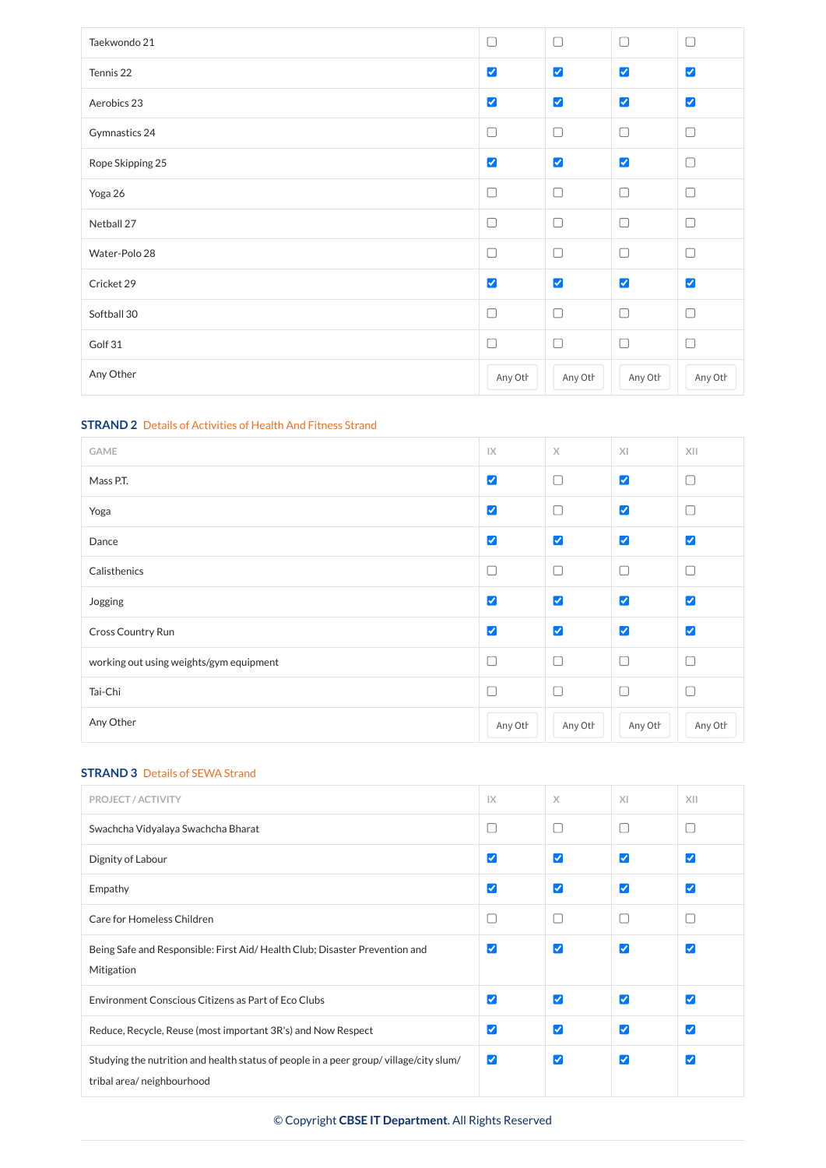| Taekwondo 21     | $\Box$               | $\Box$                       | $\Box$               | $\Box$               |
|------------------|----------------------|------------------------------|----------------------|----------------------|
| Tennis 22        | $\blacktriangledown$ | $\blacktriangledown$         | $\blacktriangledown$ | $\blacktriangledown$ |
| Aerobics 23      | $\blacktriangledown$ | $\blacktriangledown$         | $\blacktriangledown$ | $\blacktriangledown$ |
| Gymnastics 24    | $\Box$               | $\Box$                       | $\Box$               | $\Box$               |
| Rope Skipping 25 | $\blacktriangledown$ | $\blacktriangledown$         | $\blacktriangledown$ | $\Box$               |
| Yoga 26          | $\Box$               | $\hfill\ensuremath{\square}$ | $\Box$               | $\Box$               |
| Netball 27       | $\Box$               | $\hfill\ensuremath{\square}$ | $\Box$               | $\Box$               |
| Water-Polo 28    | $\Box$               | $\Box$                       | $\Box$               | $\Box$               |
| Cricket 29       | $\blacktriangledown$ | $\blacktriangledown$         | $\blacktriangledown$ | $\blacktriangledown$ |
| Softball 30      | $\Box$               | $\Box$                       | $\Box$               | $\Box$               |
| Golf 31          | $\Box$               | $\Box$                       | $\Box$               | $\Box$               |
| Any Other        | Any Oth              | Any Oth                      | Any Oth              | Any Oth              |

### **STRAND 2** Details of Activities of Health And Fitness Strand

| <b>GAME</b>                             | $\mathsf{IX}$        | $\mathsf X$          | XI                   | XII                  |
|-----------------------------------------|----------------------|----------------------|----------------------|----------------------|
| Mass P.T.                               | $\blacktriangledown$ | $\Box$               | $\blacktriangledown$ | $\Box$               |
| Yoga                                    | $\blacktriangledown$ | $\Box$               | $\blacktriangledown$ | $\Box$               |
| Dance                                   | $\blacktriangledown$ | $\blacktriangledown$ | $\blacktriangledown$ | $\blacktriangledown$ |
| Calisthenics                            | $\Box$               | $\Box$               | $\Box$               | $\Box$               |
| Jogging                                 | $\blacktriangledown$ | V                    | $\blacktriangledown$ | $\blacktriangledown$ |
| Cross Country Run                       | $\blacktriangledown$ | $\blacktriangledown$ | $\blacktriangledown$ | $\blacktriangledown$ |
| working out using weights/gym equipment | $\Box$               | $\Box$               | $\Box$               | $\Box$               |
| Tai-Chi                                 | $\Box$               | $\Box$               | $\Box$               | $\Box$               |
| Any Other                               | Any Oth              | Any Oth              | Any Oth              | Any Oth              |

## **STRAND 3** Details of SEWA Strand

| <b>PROJECT / ACTIVITY</b>                                                                                           | $\mathsf{IX}$        | $\chi$               | XI                   | XII                  |
|---------------------------------------------------------------------------------------------------------------------|----------------------|----------------------|----------------------|----------------------|
| Swachcha Vidyalaya Swachcha Bharat                                                                                  | U                    | ∩                    | T                    | $\Box$               |
| Dignity of Labour                                                                                                   | $\blacktriangledown$ | $\blacktriangledown$ | $\blacktriangledown$ | $\blacktriangledown$ |
| Empathy                                                                                                             | $\blacktriangledown$ | $\blacktriangledown$ | $\blacktriangledown$ | V                    |
| Care for Homeless Children                                                                                          |                      | ∩                    | Ξ                    | Г                    |
| Being Safe and Responsible: First Aid/Health Club; Disaster Prevention and<br>Mitigation                            | $\blacktriangledown$ | $\blacktriangledown$ | <b>V</b>             | V                    |
| Environment Conscious Citizens as Part of Eco Clubs                                                                 | $\blacktriangledown$ | $\blacktriangledown$ | $\blacktriangledown$ | $\blacktriangledown$ |
| Reduce, Recycle, Reuse (most important 3R's) and Now Respect                                                        | $\blacktriangledown$ | $\blacktriangledown$ | $\blacktriangledown$ | $\blacktriangledown$ |
| Studying the nutrition and health status of people in a peer group/village/city slum/<br>tribal area/ neighbourhood | $\blacktriangledown$ | $\blacktriangledown$ | Ø                    | $\blacktriangledown$ |

© Copyright **CBSE IT Department**. All Rights Reserved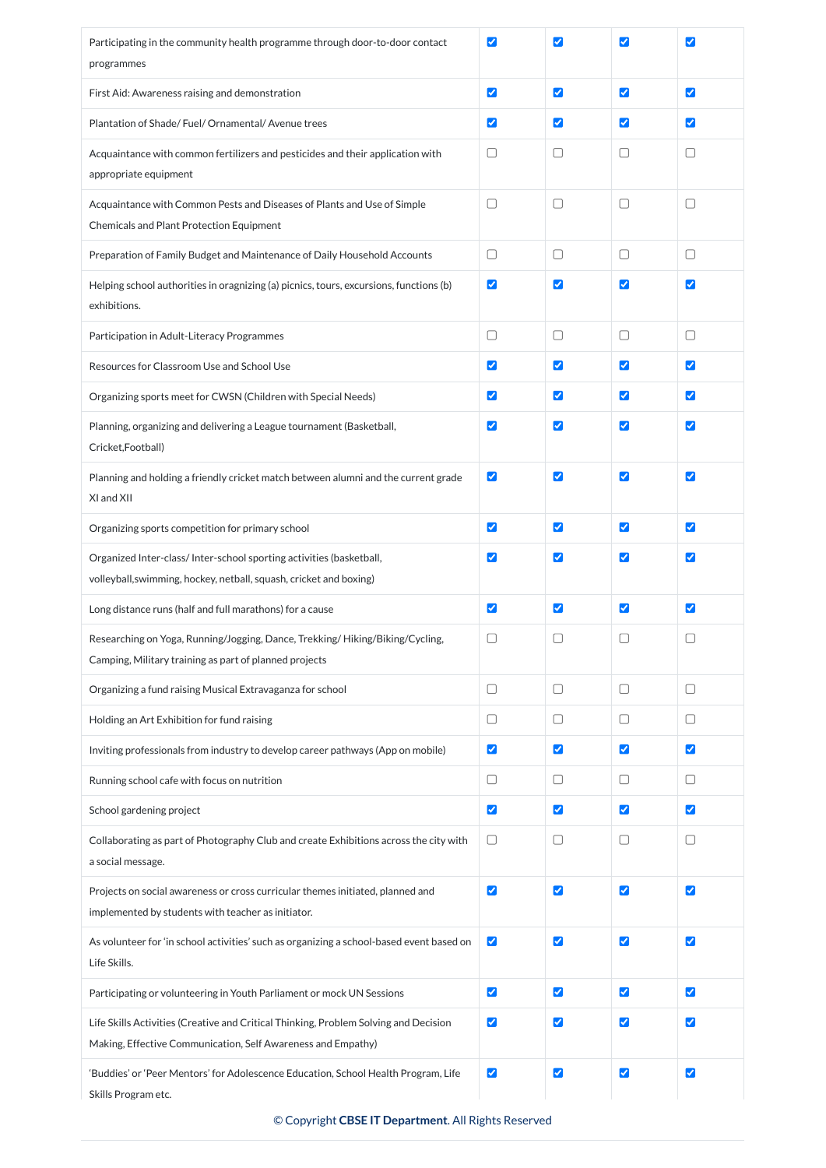| Participating in the community health programme through door-to-door contact<br>programmes                                                           | $\blacktriangledown$       | V                    | $\blacktriangledown$ | $\blacktriangledown$ |
|------------------------------------------------------------------------------------------------------------------------------------------------------|----------------------------|----------------------|----------------------|----------------------|
| First Aid: Awareness raising and demonstration                                                                                                       | $\blacktriangledown$       | $\blacktriangledown$ | $\blacktriangledown$ | $\blacktriangledown$ |
| Plantation of Shade/Fuel/Ornamental/Avenue trees                                                                                                     | $\blacktriangledown$       | $\blacktriangledown$ | $\blacktriangledown$ | $\blacktriangledown$ |
| Acquaintance with common fertilizers and pesticides and their application with<br>appropriate equipment                                              | $\Box$                     | $\Box$               | $\Box$               | L                    |
| Acquaintance with Common Pests and Diseases of Plants and Use of Simple<br><b>Chemicals and Plant Protection Equipment</b>                           | $\Box$                     | $\Box$               | □                    | $\Box$               |
| Preparation of Family Budget and Maintenance of Daily Household Accounts                                                                             | $\Box$                     | $\Box$               | $\Box$               | $\Box$               |
| Helping school authorities in oragnizing (a) picnics, tours, excursions, functions (b)<br>exhibitions.                                               | $\boldsymbol{\mathcal{U}}$ | V                    | Ø                    | $\blacktriangledown$ |
| Participation in Adult-Literacy Programmes                                                                                                           | $[\ ]$                     | Г                    | $\Box$               | $\Box$               |
| Resources for Classroom Use and School Use                                                                                                           | V                          | V                    | $\blacktriangledown$ | V                    |
| Organizing sports meet for CWSN (Children with Special Needs)                                                                                        | Ø                          | $\blacktriangledown$ | $\blacktriangledown$ | $\blacktriangledown$ |
| Planning, organizing and delivering a League tournament (Basketball,<br>Cricket, Football)                                                           | $\boldsymbol{\mathcal{U}}$ | $\blacktriangledown$ | Ø                    | $\blacktriangledown$ |
| Planning and holding a friendly cricket match between alumni and the current grade<br>XI and XII                                                     | $\boldsymbol{\mathcal{U}}$ | $\blacktriangledown$ | $\blacktriangledown$ | $\blacktriangledown$ |
| Organizing sports competition for primary school                                                                                                     | $\blacktriangledown$       | $\blacktriangledown$ | V                    | $\blacktriangledown$ |
| Organized Inter-class/Inter-school sporting activities (basketball,<br>volleyball, swimming, hockey, netball, squash, cricket and boxing)            | V                          | $\blacktriangledown$ | $\blacktriangledown$ | $\blacktriangledown$ |
| Long distance runs (half and full marathons) for a cause                                                                                             | $\blacktriangledown$       | $\blacktriangledown$ | $\blacktriangledown$ | $\blacktriangledown$ |
| Researching on Yoga, Running/Jogging, Dance, Trekking/Hiking/Biking/Cycling,<br>Camping, Military training as part of planned projects               | $\Box$                     | $\Box$               | $[\ ]$               | $\Box$               |
| Organizing a fund raising Musical Extravaganza for school                                                                                            | $\Box$                     | $\Box$               | $\Box$               | $\Box$               |
| Holding an Art Exhibition for fund raising                                                                                                           | $\Box$                     | $\Box$               | $\Box$               | $\Box$               |
| Inviting professionals from industry to develop career pathways (App on mobile)                                                                      | M                          | $\blacktriangledown$ | $\blacktriangledown$ | $\blacktriangledown$ |
| Running school cafe with focus on nutrition                                                                                                          | $\Box$                     | $\Box$               | $\Box$               | $\Box$               |
| School gardening project                                                                                                                             | $\blacktriangledown$       | $\blacktriangledown$ | $\blacktriangledown$ | $\blacktriangledown$ |
| Collaborating as part of Photography Club and create Exhibitions across the city with<br>a social message.                                           | $\Box$                     | $\Box$               | $\Box$               | $\Box$               |
| Projects on social awareness or cross curricular themes initiated, planned and<br>implemented by students with teacher as initiator.                 | M                          | $\blacktriangledown$ | $\blacktriangledown$ | $\blacktriangledown$ |
| As volunteer for 'in school activities' such as organizing a school-based event based on<br>Life Skills.                                             | $\blacktriangledown$       | $\blacktriangledown$ | V                    | $\blacktriangledown$ |
| Participating or volunteering in Youth Parliament or mock UN Sessions                                                                                | $\blacktriangledown$       | $\blacktriangledown$ | $\blacktriangledown$ | $\blacktriangledown$ |
| Life Skills Activities (Creative and Critical Thinking, Problem Solving and Decision<br>Making, Effective Communication, Self Awareness and Empathy) | $\blacktriangledown$       | $\blacktriangledown$ | $\blacktriangledown$ | V                    |
| 'Buddies' or 'Peer Mentors' for Adolescence Education, School Health Program, Life<br>Skills Program etc.                                            | $\blacktriangledown$       | $\blacktriangledown$ | $\blacktriangledown$ | $\blacktriangledown$ |

 $\odot$  Copyright CBSE IT Department. All Rights Reserved